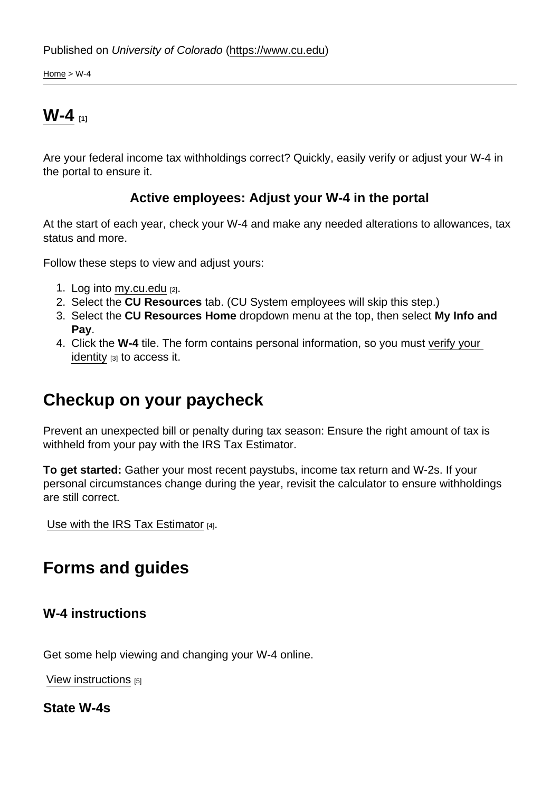Home  $>$  W-4

# **W-4 [1]**

Are your federal income tax withholdings correct? Quickly, easily verify or adjust your W-4 in the portal to ensure it.

### **Active employees: Adjust your W-4 in the portal**

At the start of each year, check your W-4 and make any needed alterations to allowances, tax status and more.

Follow these steps to view and adjust yours:

- 1. Log into my.cu.edu [2].
- 2. Select the **CU Resources** tab. (CU System employees will skip this step.)
- 3. Select the **CU Resources Home** dropdown menu at the top, then select **My Info and Pay**.
- 4. Click the **W-4** tile. The form contains personal information, so you must verify your identity [3] to access it.

## **Checkup on your paycheck**

Prevent an unexpected bill or penalty during tax season: Ensure the right amount of tax is withheld from your pay with the IRS Tax Estimator.

**To get started:** Gather your most recent paystubs, income tax return and W-2s. If your personal circumstances change during the year, revisit the calculator to ensure withholdings are still correct.

Use with the IRS Tax Estimator [4].

## **Forms and guides**

#### **W-4 instructions**

Get some help viewing and changing your W-4 online.

View instructions [5]

**State W-4s**